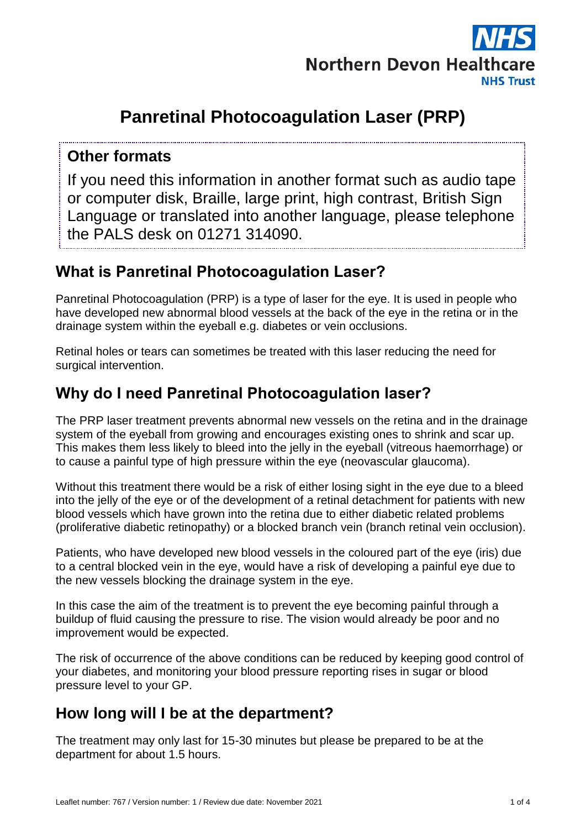

# **Panretinal Photocoagulation Laser (PRP)**

#### **Other formats**

If you need this information in another format such as audio tape or computer disk, Braille, large print, high contrast, British Sign Language or translated into another language, please telephone the PALS desk on 01271 314090.

# **What is Panretinal Photocoagulation Laser?**

Panretinal Photocoagulation (PRP) is a type of laser for the eye. It is used in people who have developed new abnormal blood vessels at the back of the eye in the retina or in the drainage system within the eyeball e.g. diabetes or vein occlusions.

Retinal holes or tears can sometimes be treated with this laser reducing the need for surgical intervention.

# **Why do I need Panretinal Photocoagulation laser?**

The PRP laser treatment prevents abnormal new vessels on the retina and in the drainage system of the eyeball from growing and encourages existing ones to shrink and scar up. This makes them less likely to bleed into the jelly in the eyeball (vitreous haemorrhage) or to cause a painful type of high pressure within the eye (neovascular glaucoma).

Without this treatment there would be a risk of either losing sight in the eye due to a bleed into the jelly of the eye or of the development of a retinal detachment for patients with new blood vessels which have grown into the retina due to either diabetic related problems (proliferative diabetic retinopathy) or a blocked branch vein (branch retinal vein occlusion).

Patients, who have developed new blood vessels in the coloured part of the eye (iris) due to a central blocked vein in the eye, would have a risk of developing a painful eye due to the new vessels blocking the drainage system in the eye.

In this case the aim of the treatment is to prevent the eye becoming painful through a buildup of fluid causing the pressure to rise. The vision would already be poor and no improvement would be expected.

The risk of occurrence of the above conditions can be reduced by keeping good control of your diabetes, and monitoring your blood pressure reporting rises in sugar or blood pressure level to your GP.

### **How long will I be at the department?**

The treatment may only last for 15-30 minutes but please be prepared to be at the department for about 1.5 hours.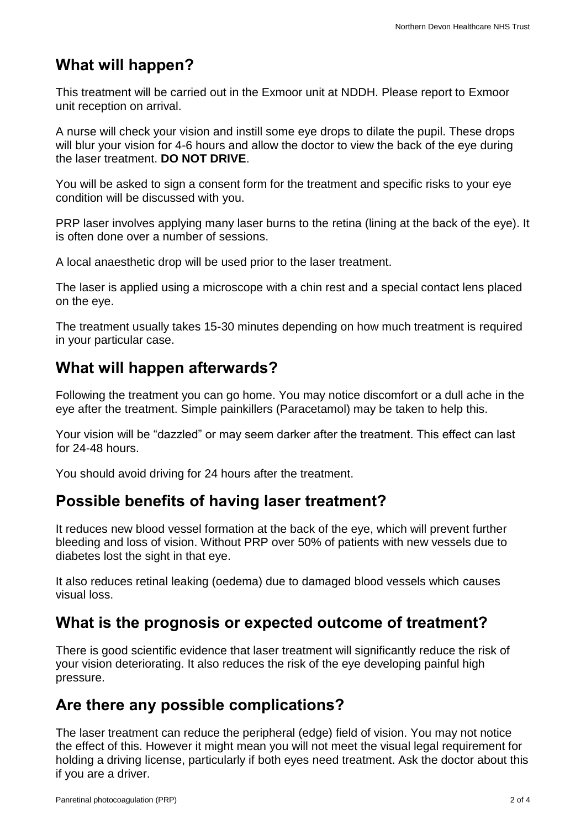# **What will happen?**

This treatment will be carried out in the Exmoor unit at NDDH. Please report to Exmoor unit reception on arrival.

A nurse will check your vision and instill some eye drops to dilate the pupil. These drops will blur your vision for 4-6 hours and allow the doctor to view the back of the eye during the laser treatment. **DO NOT DRIVE**.

You will be asked to sign a consent form for the treatment and specific risks to your eye condition will be discussed with you.

PRP laser involves applying many laser burns to the retina (lining at the back of the eye). It is often done over a number of sessions.

A local anaesthetic drop will be used prior to the laser treatment.

The laser is applied using a microscope with a chin rest and a special contact lens placed on the eye.

The treatment usually takes 15-30 minutes depending on how much treatment is required in your particular case.

# **What will happen afterwards?**

Following the treatment you can go home. You may notice discomfort or a dull ache in the eye after the treatment. Simple painkillers (Paracetamol) may be taken to help this.

Your vision will be "dazzled" or may seem darker after the treatment. This effect can last for 24-48 hours.

You should avoid driving for 24 hours after the treatment.

### **Possible benefits of having laser treatment?**

It reduces new blood vessel formation at the back of the eye, which will prevent further bleeding and loss of vision. Without PRP over 50% of patients with new vessels due to diabetes lost the sight in that eye.

It also reduces retinal leaking (oedema) due to damaged blood vessels which causes visual loss.

### **What is the prognosis or expected outcome of treatment?**

There is good scientific evidence that laser treatment will significantly reduce the risk of your vision deteriorating. It also reduces the risk of the eye developing painful high pressure.

# **Are there any possible complications?**

The laser treatment can reduce the peripheral (edge) field of vision. You may not notice the effect of this. However it might mean you will not meet the visual legal requirement for holding a driving license, particularly if both eyes need treatment. Ask the doctor about this if you are a driver.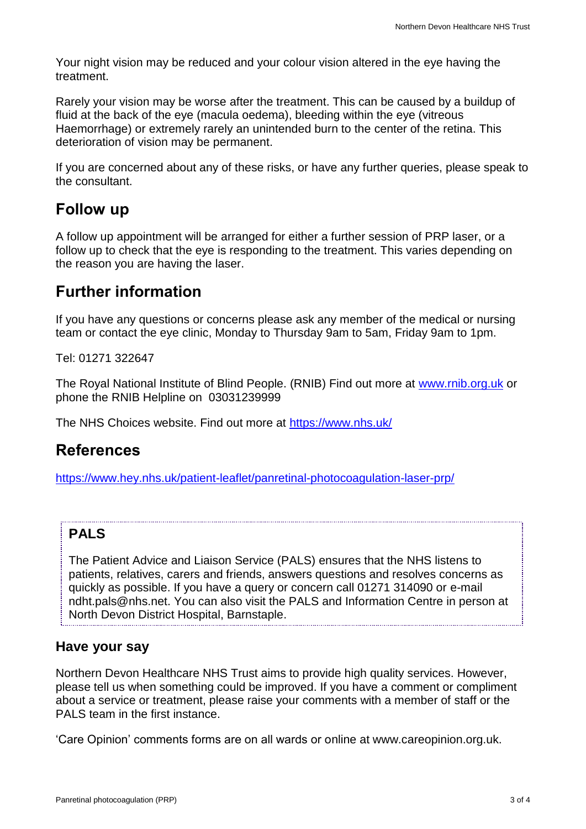Your night vision may be reduced and your colour vision altered in the eye having the treatment.

Rarely your vision may be worse after the treatment. This can be caused by a buildup of fluid at the back of the eye (macula oedema), bleeding within the eye (vitreous Haemorrhage) or extremely rarely an unintended burn to the center of the retina. This deterioration of vision may be permanent.

If you are concerned about any of these risks, or have any further queries, please speak to the consultant.

#### **Follow up**

A follow up appointment will be arranged for either a further session of PRP laser, or a follow up to check that the eye is responding to the treatment. This varies depending on the reason you are having the laser.

### **Further information**

If you have any questions or concerns please ask any member of the medical or nursing team or contact the eye clinic, Monday to Thursday 9am to 5am, Friday 9am to 1pm.

Tel: 01271 322647

The Royal National Institute of Blind People. (RNIB) Find out more at [www.rnib.org.uk](http://www.rnib.org.uk/) or phone the RNIB Helpline on 03031239999

The NHS Choices website. Find out more at<https://www.nhs.uk/>

### **References**

<https://www.hey.nhs.uk/patient-leaflet/panretinal-photocoagulation-laser-prp/>

#### **PALS**

The Patient Advice and Liaison Service (PALS) ensures that the NHS listens to patients, relatives, carers and friends, answers questions and resolves concerns as quickly as possible. If you have a query or concern call 01271 314090 or e-mail ndht.pals@nhs.net. You can also visit the PALS and Information Centre in person at North Devon District Hospital, Barnstaple.

#### **Have your say**

Northern Devon Healthcare NHS Trust aims to provide high quality services. However, please tell us when something could be improved. If you have a comment or compliment about a service or treatment, please raise your comments with a member of staff or the PALS team in the first instance.

'Care Opinion' comments forms are on all wards or online at www.careopinion.org.uk.